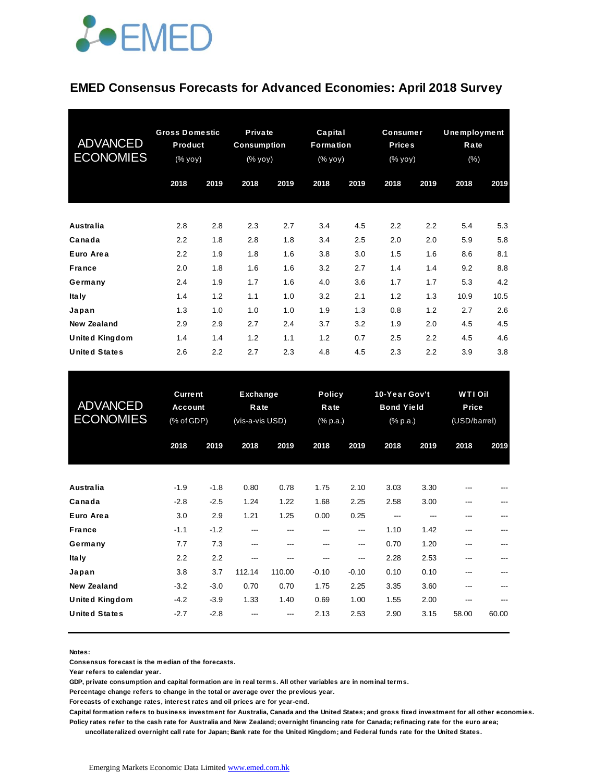

#### **EMED Consensus Forecasts for Advanced Economies: April 2018 Survey**

| <b>ADVANCED</b><br><b>ECONOMIES</b> | <b>Gross Domestic</b><br>Product<br>(% yoy) |      |      |      | <b>Private</b><br>Consumption<br>(% yoy) |      | Capital<br>Formation<br>$(% \mathbf{y}\right)$ (% $\overline{\mathbf{y}}$ ) |      | Consumer<br><b>Prices</b><br>(% yoy) |      | <b>Unemployment</b><br>Rate<br>$(\% )$ |  |
|-------------------------------------|---------------------------------------------|------|------|------|------------------------------------------|------|-----------------------------------------------------------------------------|------|--------------------------------------|------|----------------------------------------|--|
|                                     | 2018                                        | 2019 | 2018 | 2019 | 2018                                     | 2019 | 2018                                                                        | 2019 | 2018                                 | 2019 |                                        |  |
| <b>Australia</b>                    | 2.8                                         | 2.8  | 2.3  | 2.7  | 3.4                                      | 4.5  | 2.2                                                                         | 2.2  | 5.4                                  | 5.3  |                                        |  |
| Canada                              | 2.2                                         | 1.8  | 2.8  | 1.8  | 3.4                                      | 2.5  | 2.0                                                                         | 2.0  | 5.9                                  | 5.8  |                                        |  |
| Euro Area                           | 2.2                                         | 1.9  | 1.8  | 1.6  | 3.8                                      | 3.0  | 1.5                                                                         | 1.6  | 8.6                                  | 8.1  |                                        |  |
| <b>France</b>                       | 2.0                                         | 1.8  | 1.6  | 1.6  | 3.2                                      | 2.7  | 1.4                                                                         | 1.4  | 9.2                                  | 8.8  |                                        |  |
| Germany                             | 2.4                                         | 1.9  | 1.7  | 1.6  | 4.0                                      | 3.6  | 1.7                                                                         | 1.7  | 5.3                                  | 4.2  |                                        |  |
| <b>Italy</b>                        | 1.4                                         | 1.2  | 1.1  | 1.0  | 3.2                                      | 2.1  | 1.2                                                                         | 1.3  | 10.9                                 | 10.5 |                                        |  |
| Japan                               | 1.3                                         | 1.0  | 1.0  | 1.0  | 1.9                                      | 1.3  | 0.8                                                                         | 1.2  | 2.7                                  | 2.6  |                                        |  |
| New Zealand                         | 2.9                                         | 2.9  | 2.7  | 2.4  | 3.7                                      | 3.2  | 1.9                                                                         | 2.0  | 4.5                                  | 4.5  |                                        |  |
| <b>United Kingdom</b>               | 1.4                                         | 1.4  | 1.2  | 1.1  | 1.2                                      | 0.7  | 2.5                                                                         | 2.2  | 4.5                                  | 4.6  |                                        |  |
| <b>United States</b>                | 2.6                                         | 2.2  | 2.7  | 2.3  | 4.8                                      | 4.5  | 2.3                                                                         | 2.2  | 3.9                                  | 3.8  |                                        |  |

| <b>United States</b>                          | 2.6                                            | 2.2                        | 2.7                                        | 2.3           | 4.8                  | 4.5                               | 2.3                  | 2.2                                            | 3.9          | 3.8                                     |  |
|-----------------------------------------------|------------------------------------------------|----------------------------|--------------------------------------------|---------------|----------------------|-----------------------------------|----------------------|------------------------------------------------|--------------|-----------------------------------------|--|
| <b>ADVANCED</b><br><b>ECONOMIES</b>           | <b>Current</b><br><b>Account</b><br>(% of GDP) |                            | <b>Exchange</b><br>Rate<br>(vis-a-vis USD) |               |                      | <b>Policy</b><br>Rate<br>(% p.a.) |                      | 10-Year Gov't<br><b>Bond Yield</b><br>(% p.a.) |              | <b>WTI Oil</b><br>Price<br>(USD/barrel) |  |
|                                               | 2018                                           | 2019                       | 2018                                       | 2019          | 2018                 | 2019                              | 2018                 | 2019                                           | 2018         | 2019                                    |  |
| Australia                                     | $-1.9$                                         | $-1.8$                     | 0.80                                       | 0.78          | 1.75                 | 2.10                              | 3.03                 | 3.30                                           |              |                                         |  |
| Canada<br>Euro Area                           | $-2.8$<br>3.0                                  | $-2.5$<br>2.9              | 1.24<br>1.21                               | 1.22<br>1.25  | 1.68<br>0.00         | 2.25<br>0.25                      | 2.58<br>---          | 3.00<br>---                                    |              |                                         |  |
| <b>France</b><br>Germany                      | $-1.1$<br>7.7                                  | $-1.2$<br>7.3              | ---<br>---                                 | ---<br>---    | ---<br>---           | ---<br>---                        | 1.10<br>0.70         | 1.42<br>1.20                                   | ---          |                                         |  |
| <b>Italy</b><br>Japan<br><b>New Zealand</b>   | 2.2<br>3.8                                     | 2.2<br>3.7                 | ---<br>112.14                              | ---<br>110.00 | ---<br>$-0.10$       | ---<br>$-0.10$                    | 2.28<br>0.10         | 2.53<br>0.10                                   |              |                                         |  |
| <b>United Kingdom</b><br><b>United States</b> | $-3.2$<br>$-4.2$<br>$-2.7$                     | $-3.0$<br>$-3.9$<br>$-2.8$ | 0.70<br>1.33                               | 0.70<br>1.40  | 1.75<br>0.69<br>2.13 | 2.25<br>1.00<br>2.53              | 3.35<br>1.55<br>2.90 | 3.60<br>2.00<br>3.15                           | ---<br>58.00 | 60.00                                   |  |
|                                               |                                                |                            |                                            |               |                      |                                   |                      |                                                |              |                                         |  |

**Notes:** 

**Consensus forecast is the median of the forecasts.**

**Year refers to calendar year.**

**GDP, private consumption and capital formation are in real terms. All other variables are in nominal terms.**

**Percentage change refers to change in the total or average over the previous year.**

**Forecasts of exchange rates, interest rates and oil prices are for year-end.**

**Capital formation refers to business investment for Australia, Canada and the United States; and gross fixed investment for all other economies. Policy rates refer to the cash rate for Australia and New Zealand; overnight financing rate for Canada; refinacing rate for the euro area;** 

 **uncollateralized overnight call rate for Japan; Bank rate for the United Kingdom; and Federal funds rate for the United States.**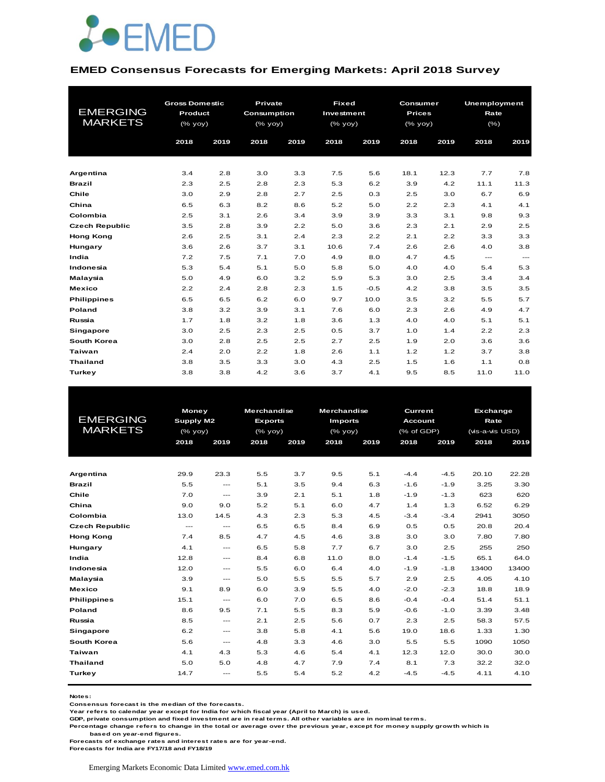

#### **EMED Consensus Forecasts for Emerging Markets: April 2018 Survey**

| <b>EMERGING</b><br><b>MARKETS</b> | <b>Gross Domestic</b><br>Product |      | Private<br><b>Consumption</b> |      | <b>Fixed</b><br>Investment |        | Consumer<br><b>Prices</b> |      | Unemployment<br>Rate | (% )              |  |
|-----------------------------------|----------------------------------|------|-------------------------------|------|----------------------------|--------|---------------------------|------|----------------------|-------------------|--|
|                                   | (% yoy)                          |      | (% yoy)                       |      | (% yoy)                    |        | (% yoy)                   |      |                      |                   |  |
|                                   | 2018                             | 2019 | 2018                          | 2019 | 2018                       | 2019   | 2018                      | 2019 | 2018                 | 2019              |  |
|                                   |                                  |      |                               |      |                            |        |                           |      |                      |                   |  |
| Argentina                         | 3.4                              | 2.8  | 3.0                           | 3.3  | 7.5                        | 5.6    | 18.1                      | 12.3 | 7.7                  | 7.8               |  |
| <b>Brazil</b>                     | 2.3                              | 2.5  | 2.8                           | 2.3  | 5.3                        | 6.2    | 3.9                       | 4.2  | 11.1                 | 11.3              |  |
| Chile                             | 3.0                              | 2.9  | 2.8                           | 2.7  | 2.5                        | 0.3    | 2.5                       | 3.0  | 6.7                  | 6.9               |  |
| China                             | 6.5                              | 6.3  | 8.2                           | 8.6  | 5.2                        | 5.0    | 2.2                       | 2.3  | 4.1                  | 4.1               |  |
| Colombia                          | 2.5                              | 3.1  | 2.6                           | 3.4  | 3.9                        | 3.9    | 3.3                       | 3.1  | 9.8                  | 9.3               |  |
| <b>Czech Republic</b>             | 3.5                              | 2.8  | 3.9                           | 2.2  | 5.0                        | 3.6    | 2.3                       | 2.1  | 2.9                  | 2.5               |  |
| <b>Hong Kong</b>                  | 2.6                              | 2.5  | 3.1                           | 2.4  | 2.3                        | 2.2    | 2.1                       | 2.2  | 3.3                  | 3.3               |  |
| Hungary                           | 3.6                              | 2.6  | 3.7                           | 3.1  | 10.6                       | 7.4    | 2.6                       | 2.6  | 4.0                  | 3.8               |  |
| India                             | 7.2                              | 7.5  | 7.1                           | 7.0  | 4.9                        | 8.0    | 4.7                       | 4.5  | $---$                | $\qquad \qquad -$ |  |
| Indonesia                         | 5.3                              | 5.4  | 5.1                           | 5.0  | 5.8                        | 5.0    | 4.0                       | 4.0  | 5.4                  | 5.3               |  |
| Malaysia                          | 5.0                              | 4.9  | 6.0                           | 3.2  | 5.9                        | 5.3    | 3.0                       | 2.5  | 3.4                  | 3.4               |  |
| <b>Mexico</b>                     | 2.2                              | 2.4  | 2.8                           | 2.3  | 1.5                        | $-0.5$ | 4.2                       | 3.8  | 3.5                  | 3.5               |  |
| <b>Philippines</b>                | 6.5                              | 6.5  | 6.2                           | 6.0  | 9.7                        | 10.0   | 3.5                       | 3.2  | 5.5                  | 5.7               |  |
| Poland                            | 3.8                              | 3.2  | 3.9                           | 3.1  | 7.6                        | 6.0    | 2.3                       | 2.6  | 4.9                  | 4.7               |  |
| Russia                            | 1.7                              | 1.8  | 3.2                           | 1.8  | 3.6                        | 1.3    | 4.0                       | 4.0  | 5.1                  | 5.1               |  |
| <b>Singapore</b>                  | 3.0                              | 2.5  | 2.3                           | 2.5  | 0.5                        | 3.7    | 1.0                       | 1.4  | 2.2                  | 2.3               |  |
| South Korea                       | 3.0                              | 2.8  | 2.5                           | 2.5  | 2.7                        | 2.5    | 1.9                       | 2.0  | 3.6                  | 3.6               |  |
| Taiwan                            | 2.4                              | 2.0  | 2.2                           | 1.8  | 2.6                        | 1.1    | 1.2                       | 1.2  | 3.7                  | 3.8               |  |
| <b>Thailand</b>                   | 3.8                              | 3.5  | 3.3                           | 3.0  | 4.3                        | 2.5    | 1.5                       | 1.6  | 1.1                  | 0.8               |  |
| Turkey                            | 3.8                              | 3.8  | 4.2                           | 3.6  | 3.7                        | 4.1    | 9.5                       | 8.5  | 11.0                 | 11.0              |  |

|                                   | <b>Money</b>  |                                          | <b>Merchandise</b> |      | Merchandise    |      | Current        |        | Exchange        |       |
|-----------------------------------|---------------|------------------------------------------|--------------------|------|----------------|------|----------------|--------|-----------------|-------|
| <b>EMERGING</b><br><b>MARKETS</b> | Supply M2     |                                          | <b>Exports</b>     |      | <b>Imports</b> |      | <b>Account</b> |        | Rate            |       |
|                                   | (% yoy)       |                                          | $(%$ (% yoy)       |      | $(%$ (% yoy)   |      | (% of GDP)     |        | (vis-a-vis USD) |       |
|                                   | 2018          | 2019                                     | 2018               | 2019 | 2018           | 2019 | 2018           | 2019   | 2018            | 2019  |
|                                   |               |                                          |                    |      |                |      |                |        |                 |       |
|                                   |               |                                          |                    |      |                |      |                |        |                 |       |
| Argentina                         | 29.9          | 23.3                                     | 5.5                | 3.7  | 9.5            | 5.1  | $-4.4$         | $-4.5$ | 20.10           | 22.28 |
| <b>Brazil</b>                     | 5.5           | $\frac{1}{2}$                            | 5.1                | 3.5  | 9.4            | 6.3  | $-1.6$         | $-1.9$ | 3.25            | 3.30  |
| Chile                             | 7.0           | $\cdots$                                 | 3.9                | 2.1  | 5.1            | 1.8  | $-1.9$         | $-1.3$ | 623             | 620   |
| China                             | 9.0           | 9.0                                      | 5.2                | 5.1  | 6.0            | 4.7  | 1.4            | 1.3    | 6.52            | 6.29  |
| Colombia                          | 13.0          | 14.5                                     | 4.3                | 2.3  | 5.3            | 4.5  | $-3.4$         | $-3.4$ | 2941            | 3050  |
| <b>Czech Republic</b>             | $\frac{1}{2}$ | $\frac{1}{2}$                            | 6.5                | 6.5  | 8.4            | 6.9  | 0.5            | 0.5    | 20.8            | 20.4  |
| <b>Hong Kong</b>                  | 7.4           | 8.5                                      | 4.7                | 4.5  | 4.6            | 3.8  | 3.0            | 3.0    | 7.80            | 7.80  |
| Hungary                           | 4.1           | $---$                                    | 6.5                | 5.8  | 7.7            | 6.7  | 3.0            | 2.5    | 255             | 250   |
| India                             | 12.8          | $---$                                    | 8.4                | 6.8  | 11.0           | 8.0  | $-1.4$         | $-1.5$ | 65.1            | 64.0  |
| Indonesia                         | 12.0          | $---$                                    | 5.5                | 6.0  | 6.4            | 4.0  | $-1.9$         | $-1.8$ | 13400           | 13400 |
| Malaysia                          | 3.9           | $---$                                    | 5.0                | 5.5  | 5.5            | 5.7  | 2.9            | 2.5    | 4.05            | 4.10  |
| <b>Mexico</b>                     | 9.1           | 8.9                                      | 6.0                | 3.9  | 5.5            | 4.0  | $-2.0$         | $-2.3$ | 18.8            | 18.9  |
| <b>Philippines</b>                | 15.1          | $---$                                    | 6.0                | 7.0  | 6.5            | 8.6  | $-0.4$         | $-0.4$ | 51.4            | 51.1  |
| <b>Poland</b>                     | 8.6           | 9.5                                      | 7.1                | 5.5  | 8.3            | 5.9  | $-0.6$         | $-1.0$ | 3.39            | 3.48  |
| Russia                            | 8.5           | $\frac{1}{2}$                            | 2.1                | 2.5  | 5.6            | 0.7  | 2.3            | 2.5    | 58.3            | 57.5  |
| Singapore                         | 6.2           | $\cdots$                                 | 3.8                | 5.8  | 4.1            | 5.6  | 19.0           | 18.6   | 1.33            | 1.30  |
| South Korea                       | 5.6           | $\hspace{0.05cm} \ldots \hspace{0.05cm}$ | 4.8                | 3.3  | 4.6            | 3.0  | 5.5            | 5.5    | 1090            | 1050  |
| Taiwan                            | 4.1           | 4.3                                      | 5.3                | 4.6  | 5.4            | 4.1  | 12.3           | 12.0   | 30.0            | 30.0  |
| <b>Thailand</b>                   | 5.0           | 5.0                                      | 4.8                | 4.7  | 7.9            | 7.4  | 8.1            | 7.3    | 32.2            | 32.0  |
| Turkey                            | 14.7          | $---$                                    | 5.5                | 5.4  | 5.2            | 4.2  | $-4.5$         | $-4.5$ | 4.11            | 4.10  |
|                                   |               |                                          |                    |      |                |      |                |        |                 |       |

**Notes:** 

**Consensus forecast is the median of the forecasts.**

**Year refers to calendar year except for India for which fiscal year (April to March) is used.**

**GDP, private consumption and fixed investment are in real terms. All other variables are in nominal terms.**

**Percentage change refers to change in the total or average over the previous year, except for money supply growth which is** 

 **based on year-end figures.**

**Forecasts of exchange rates and interest rates are for year-end.**

**Forecasts for India are FY17/18 and FY18/19**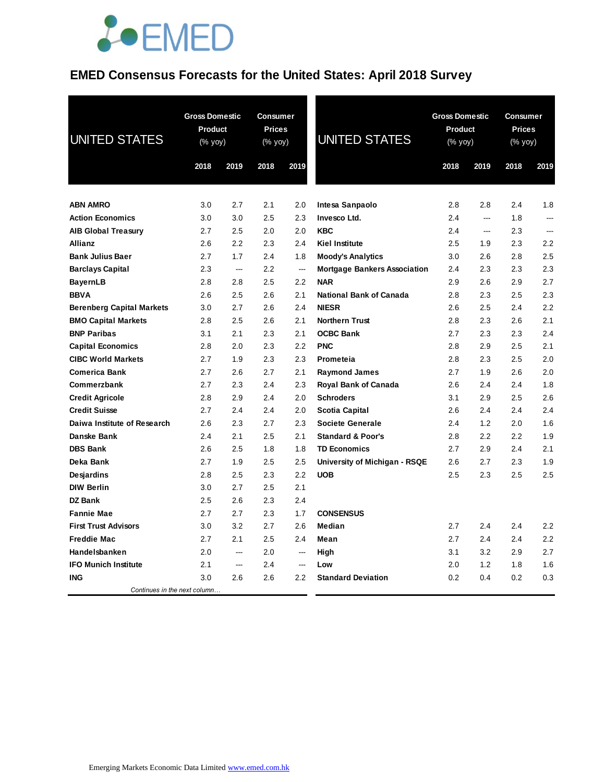# **JOEMED**

## **EMED Consensus Forecasts for the United States: April 2018 Survey**

| <b>UNITED STATES</b>               | <b>Gross Domestic</b><br>Product<br>(% yoy) |                          | <b>Consumer</b><br><b>Prices</b><br>(% yoy) |                | <b>UNITED STATES</b>                | <b>Gross Domestic</b><br>Product<br>$(% \mathsf{Y}^{\prime }\mathsf{Y}^{\prime }\mathsf{Y}^{\prime })$ |            | <b>Consumer</b><br><b>Prices</b><br>(% yoy) |      |
|------------------------------------|---------------------------------------------|--------------------------|---------------------------------------------|----------------|-------------------------------------|--------------------------------------------------------------------------------------------------------|------------|---------------------------------------------|------|
|                                    | 2018                                        | 2019                     | 2018                                        | 2019           |                                     | 2018                                                                                                   | 2019       | 2018                                        | 2019 |
| <b>ABN AMRO</b>                    | 3.0                                         | 2.7                      | 2.1                                         |                |                                     |                                                                                                        |            | 2.4                                         | 1.8  |
| <b>Action Economics</b>            | 3.0                                         | 3.0                      | 2.5                                         | 2.0<br>2.3     | Intesa Sanpaolo<br>Invesco Ltd.     | 2.8<br>2.4                                                                                             | 2.8<br>--- | 1.8                                         | ---  |
|                                    | 2.7                                         | 2.5                      | 2.0                                         | 2.0            | <b>KBC</b>                          | 2.4                                                                                                    | ---        | 2.3                                         | ---  |
| <b>AIB Global Treasury</b>         | 2.6                                         | 2.2                      | 2.3                                         | 2.4            | <b>Kiel Institute</b>               | 2.5                                                                                                    | 1.9        | 2.3                                         | 2.2  |
| Allianz<br><b>Bank Julius Baer</b> | 2.7                                         | 1.7                      | 2.4                                         | 1.8            | <b>Moody's Analytics</b>            | 3.0                                                                                                    | 2.6        | 2.8                                         | 2.5  |
| <b>Barclays Capital</b>            | 2.3                                         | $\overline{\phantom{a}}$ | 2.2                                         | ---            | <b>Mortgage Bankers Association</b> | 2.4                                                                                                    | 2.3        | 2.3                                         | 2.3  |
| <b>BayernLB</b>                    | 2.8                                         | 2.8                      | 2.5                                         | 2.2            | <b>NAR</b>                          | 2.9                                                                                                    | 2.6        | 2.9                                         | 2.7  |
| <b>BBVA</b>                        | 2.6                                         | 2.5                      | 2.6                                         | 2.1            | <b>National Bank of Canada</b>      | 2.8                                                                                                    | 2.3        | 2.5                                         | 2.3  |
| <b>Berenberg Capital Markets</b>   | 3.0                                         | 2.7                      | 2.6                                         | 2.4            | <b>NIESR</b>                        | 2.6                                                                                                    | 2.5        | 2.4                                         | 2.2  |
| <b>BMO Capital Markets</b>         | 2.8                                         | 2.5                      | 2.6                                         | 2.1            | <b>Northern Trust</b>               | 2.8                                                                                                    | 2.3        | 2.6                                         | 2.1  |
| <b>BNP Paribas</b>                 | 3.1                                         | 2.1                      | 2.3                                         | 2.1            | <b>OCBC Bank</b>                    | 2.7                                                                                                    | 2.3        | 2.3                                         | 2.4  |
| <b>Capital Economics</b>           | 2.8                                         | 2.0                      | 2.3                                         | 2.2            | <b>PNC</b>                          | 2.8                                                                                                    | 2.9        | 2.5                                         | 2.1  |
| <b>CIBC World Markets</b>          | 2.7                                         | 1.9                      | 2.3                                         | 2.3            | <b>Prometeia</b>                    | 2.8                                                                                                    | 2.3        | 2.5                                         | 2.0  |
| <b>Comerica Bank</b>               | 2.7                                         | 2.6                      | 2.7                                         | 2.1            | <b>Raymond James</b>                | 2.7                                                                                                    | 1.9        | 2.6                                         | 2.0  |
| Commerzbank                        | 2.7                                         | 2.3                      | 2.4                                         | 2.3            | <b>Royal Bank of Canada</b>         | 2.6                                                                                                    | 2.4        | 2.4                                         | 1.8  |
| <b>Credit Agricole</b>             | 2.8                                         | 2.9                      | $2.4\,$                                     | 2.0            | <b>Schroders</b>                    | 3.1                                                                                                    | 2.9        | 2.5                                         | 2.6  |
| <b>Credit Suisse</b>               | 2.7                                         | 2.4                      | $2.4\,$                                     | 2.0            | <b>Scotia Capital</b>               | 2.6                                                                                                    | 2.4        | 2.4                                         | 2.4  |
| Daiwa Institute of Research        | 2.6                                         | 2.3                      | 2.7                                         | 2.3            | <b>Societe Generale</b>             | 2.4                                                                                                    | 1.2        | 2.0                                         | 1.6  |
| Danske Bank                        | 2.4                                         | 2.1                      | 2.5                                         | 2.1            | <b>Standard &amp; Poor's</b>        | 2.8                                                                                                    | 2.2        | 2.2                                         | 1.9  |
| <b>DBS Bank</b>                    | 2.6                                         | 2.5                      | 1.8                                         | 1.8            | <b>TD Economics</b>                 | 2.7                                                                                                    | 2.9        | 2.4                                         | 2.1  |
| Deka Bank                          | 2.7                                         | 1.9                      | 2.5                                         | 2.5            | University of Michigan - RSQE       | 2.6                                                                                                    | 2.7        | 2.3                                         | 1.9  |
| <b>Desjardins</b>                  | 2.8                                         | 2.5                      | 2.3                                         | 2.2            | <b>UOB</b>                          | 2.5                                                                                                    | 2.3        | 2.5                                         | 2.5  |
| <b>DIW Berlin</b>                  | 3.0                                         | 2.7                      | 2.5                                         | 2.1            |                                     |                                                                                                        |            |                                             |      |
| <b>DZ Bank</b>                     | 2.5                                         | 2.6                      | 2.3                                         | 2.4            |                                     |                                                                                                        |            |                                             |      |
| <b>Fannie Mae</b>                  | 2.7                                         | 2.7                      | 2.3                                         | 1.7            | <b>CONSENSUS</b>                    |                                                                                                        |            |                                             |      |
| <b>First Trust Advisors</b>        | 3.0                                         | 3.2                      | 2.7                                         | 2.6            | Median                              | 2.7                                                                                                    | 2.4        | 2.4                                         | 2.2  |
| <b>Freddie Mac</b>                 | 2.7                                         | 2.1                      | 2.5                                         | 2.4            | Mean                                | 2.7                                                                                                    | 2.4        | 2.4                                         | 2.2  |
| Handelsbanken                      | 2.0                                         | ---                      | 2.0                                         | ---            | High                                | 3.1                                                                                                    | 3.2        | 2.9                                         | 2.7  |
| <b>IFO Munich Institute</b>        | 2.1                                         | ---                      | 2.4                                         | $\overline{a}$ | Low                                 | 2.0                                                                                                    | 1.2        | 1.8                                         | 1.6  |
| <b>ING</b>                         | 3.0                                         | 2.6                      | 2.6                                         | $2.2\,$        | <b>Standard Deviation</b>           | 0.2                                                                                                    | 0.4        | 0.2                                         | 0.3  |
| Continues in the next column       |                                             |                          |                                             |                |                                     |                                                                                                        |            |                                             |      |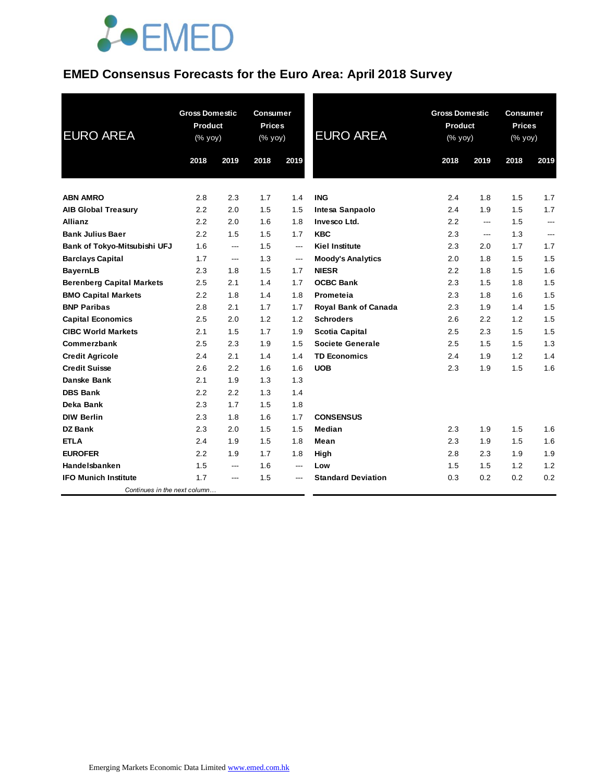

## **EMED Consensus Forecasts for the Euro Area: April 2018 Survey**

| <b>EURO AREA</b>                 | <b>Gross Domestic</b><br><b>Product</b><br>$(\%$ yoy) |                | <b>Consumer</b><br><b>Prices</b><br>$(% \mathsf{Y}^{\prime }\mathsf{Y}^{\prime })$ (% $\mathsf{Y}^{\prime }\mathsf{Y}^{\prime }\mathsf{Y}^{\prime })$ |                          | <b>EURO AREA</b>            |         | <b>Gross Domestic</b><br>Product<br>$(% \mathsf{Y}^{\prime }\mathsf{Y}^{\prime })$ (% $\mathsf{Y}^{\prime }\mathsf{Y}^{\prime }\mathsf{Y}^{\prime })$ |      | <b>Consumer</b><br><b>Prices</b><br>(% yoy) |  |
|----------------------------------|-------------------------------------------------------|----------------|-------------------------------------------------------------------------------------------------------------------------------------------------------|--------------------------|-----------------------------|---------|-------------------------------------------------------------------------------------------------------------------------------------------------------|------|---------------------------------------------|--|
|                                  | 2018                                                  | 2019           | 2018                                                                                                                                                  | 2019                     |                             | 2018    | 2019                                                                                                                                                  | 2018 | 2019                                        |  |
| <b>ABN AMRO</b>                  | 2.8                                                   | 2.3            | 1.7                                                                                                                                                   | 1.4                      | <b>ING</b>                  | 2.4     | 1.8                                                                                                                                                   | 1.5  | 1.7                                         |  |
| <b>AIB Global Treasury</b>       | 2.2                                                   | 2.0            | 1.5                                                                                                                                                   | 1.5                      | <b>Intesa Sanpaolo</b>      | 2.4     | 1.9                                                                                                                                                   | 1.5  | 1.7                                         |  |
| <b>Allianz</b>                   | 2.2                                                   | 2.0            | 1.6                                                                                                                                                   | 1.8                      | Invesco Ltd.                | 2.2     | $\overline{a}$                                                                                                                                        | 1.5  | $---$                                       |  |
| <b>Bank Julius Baer</b>          | 2.2                                                   | 1.5            | 1.5                                                                                                                                                   | 1.7                      | <b>KBC</b>                  | 2.3     | $---$                                                                                                                                                 | 1.3  | $\overline{a}$                              |  |
| Bank of Tokyo-Mitsubishi UFJ     | 1.6                                                   | ---            | 1.5                                                                                                                                                   | $\qquad \qquad \cdots$   | <b>Kiel Institute</b>       | 2.3     | 2.0                                                                                                                                                   | 1.7  | 1.7                                         |  |
| <b>Barclays Capital</b>          | 1.7                                                   | $\overline{a}$ | 1.3                                                                                                                                                   | $\hspace{0.05cm} \ldots$ | <b>Moody's Analytics</b>    | 2.0     | 1.8                                                                                                                                                   | 1.5  | 1.5                                         |  |
| <b>BayernLB</b>                  | 2.3                                                   | 1.8            | 1.5                                                                                                                                                   | 1.7                      | <b>NIESR</b>                | $2.2\,$ | 1.8                                                                                                                                                   | 1.5  | 1.6                                         |  |
| <b>Berenberg Capital Markets</b> | 2.5                                                   | 2.1            | 1.4                                                                                                                                                   | 1.7                      | <b>OCBC Bank</b>            | 2.3     | 1.5                                                                                                                                                   | 1.8  | 1.5                                         |  |
| <b>BMO Capital Markets</b>       | 2.2                                                   | 1.8            | 1.4                                                                                                                                                   | 1.8                      | Prometeia                   | 2.3     | 1.8                                                                                                                                                   | 1.6  | 1.5                                         |  |
| <b>BNP Paribas</b>               | 2.8                                                   | 2.1            | 1.7                                                                                                                                                   | 1.7                      | <b>Royal Bank of Canada</b> | 2.3     | 1.9                                                                                                                                                   | 1.4  | 1.5                                         |  |
| <b>Capital Economics</b>         | 2.5                                                   | 2.0            | 1.2                                                                                                                                                   | 1.2                      | <b>Schroders</b>            | 2.6     | 2.2                                                                                                                                                   | 1.2  | 1.5                                         |  |
| <b>CIBC World Markets</b>        | 2.1                                                   | 1.5            | 1.7                                                                                                                                                   | 1.9                      | <b>Scotia Capital</b>       | 2.5     | 2.3                                                                                                                                                   | 1.5  | 1.5                                         |  |
| Commerzbank                      | 2.5                                                   | 2.3            | 1.9                                                                                                                                                   | 1.5                      | <b>Societe Generale</b>     | 2.5     | 1.5                                                                                                                                                   | 1.5  | 1.3                                         |  |
| <b>Credit Agricole</b>           | 2.4                                                   | 2.1            | 1.4                                                                                                                                                   | 1.4                      | <b>TD Economics</b>         | 2.4     | 1.9                                                                                                                                                   | 1.2  | 1.4                                         |  |
| <b>Credit Suisse</b>             | 2.6                                                   | 2.2            | 1.6                                                                                                                                                   | 1.6                      | <b>UOB</b>                  | 2.3     | 1.9                                                                                                                                                   | 1.5  | 1.6                                         |  |
| Danske Bank                      | 2.1                                                   | 1.9            | 1.3                                                                                                                                                   | 1.3                      |                             |         |                                                                                                                                                       |      |                                             |  |
| <b>DBS Bank</b>                  | 2.2                                                   | 2.2            | 1.3                                                                                                                                                   | 1.4                      |                             |         |                                                                                                                                                       |      |                                             |  |
| Deka Bank                        | 2.3                                                   | 1.7            | 1.5                                                                                                                                                   | 1.8                      |                             |         |                                                                                                                                                       |      |                                             |  |
| <b>DIW Berlin</b>                | 2.3                                                   | 1.8            | 1.6                                                                                                                                                   | 1.7                      | <b>CONSENSUS</b>            |         |                                                                                                                                                       |      |                                             |  |
| <b>DZ Bank</b>                   | 2.3                                                   | 2.0            | 1.5                                                                                                                                                   | 1.5                      | Median                      | 2.3     | 1.9                                                                                                                                                   | 1.5  | 1.6                                         |  |
| <b>ETLA</b>                      | 2.4                                                   | 1.9            | 1.5                                                                                                                                                   | 1.8                      | Mean                        | 2.3     | 1.9                                                                                                                                                   | 1.5  | 1.6                                         |  |
| <b>EUROFER</b>                   | 2.2                                                   | 1.9            | 1.7                                                                                                                                                   | 1.8                      | High                        | 2.8     | 2.3                                                                                                                                                   | 1.9  | 1.9                                         |  |
| Handelsbanken                    | 1.5                                                   | ---            | 1.6                                                                                                                                                   | $\hspace{0.05cm} \ldots$ | Low                         | 1.5     | 1.5                                                                                                                                                   | 1.2  | 1.2                                         |  |
| <b>IFO Munich Institute</b>      | 1.7                                                   | ---            | 1.5                                                                                                                                                   | ---                      | <b>Standard Deviation</b>   | 0.3     | 0.2                                                                                                                                                   | 0.2  | 0.2                                         |  |
| Continues in the next column     |                                                       |                |                                                                                                                                                       |                          |                             |         |                                                                                                                                                       |      |                                             |  |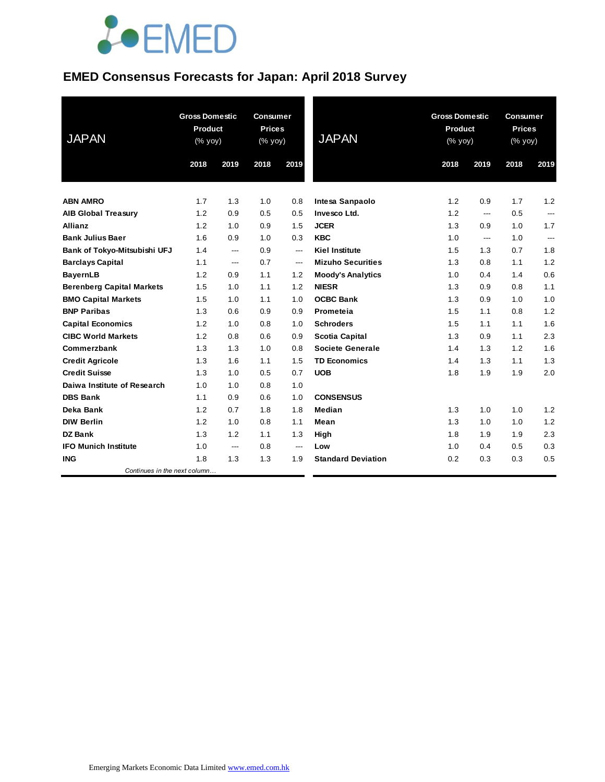# **JOEMED**

### **EMED Consensus Forecasts for Japan: April 2018 Survey**

| <b>JAPAN</b>                     | <b>Gross Domestic</b><br>Product<br>(% yoy) |      | <b>Consumer</b><br><b>Prices</b><br>(% yoy) |                          | <b>JAPAN</b>              | <b>Gross Domestic</b><br>Product<br>(% yoy) |      | <b>Consumer</b><br><b>Prices</b><br>(% yoy) |                |
|----------------------------------|---------------------------------------------|------|---------------------------------------------|--------------------------|---------------------------|---------------------------------------------|------|---------------------------------------------|----------------|
|                                  | 2018                                        | 2019 | 2018                                        | 2019                     |                           | 2018                                        | 2019 | 2018                                        | 2019           |
| <b>ABN AMRO</b>                  | 1.7                                         | 1.3  | 1.0                                         | 0.8                      | Intesa Sanpaolo           | 1.2                                         | 0.9  | 1.7                                         | 1.2            |
| <b>AIB Global Treasury</b>       | 1.2                                         | 0.9  | 0.5                                         | 0.5                      | Invesco Ltd.              | 1.2                                         | ---  | 0.5                                         | $\overline{a}$ |
| Allianz                          | 1.2                                         | 1.0  | 0.9                                         | 1.5                      | <b>JCER</b>               | 1.3                                         | 0.9  | 1.0                                         | 1.7            |
| <b>Bank Julius Baer</b>          | 1.6                                         | 0.9  | 1.0                                         | 0.3                      | <b>KBC</b>                | 1.0                                         | ---  | 1.0                                         | $\overline{a}$ |
| Bank of Tokyo-Mitsubishi UFJ     | 1.4                                         | ---  | 0.9                                         | ---                      | <b>Kiel Institute</b>     | 1.5                                         | 1.3  | 0.7                                         | 1.8            |
| <b>Barclays Capital</b>          | 1.1                                         | ---  | 0.7                                         | $\hspace{0.05cm} \ldots$ | <b>Mizuho Securities</b>  | 1.3                                         | 0.8  | 1.1                                         | 1.2            |
| <b>BayernLB</b>                  | 1.2                                         | 0.9  | 1.1                                         | 1.2                      | <b>Moody's Analytics</b>  | 1.0                                         | 0.4  | 1.4                                         | 0.6            |
| <b>Berenberg Capital Markets</b> | 1.5                                         | 1.0  | 1.1                                         | 1.2                      | <b>NIESR</b>              | 1.3                                         | 0.9  | 0.8                                         | 1.1            |
| <b>BMO Capital Markets</b>       | 1.5                                         | 1.0  | 1.1                                         | 1.0                      | <b>OCBC Bank</b>          | 1.3                                         | 0.9  | 1.0                                         | 1.0            |
| <b>BNP Paribas</b>               | 1.3                                         | 0.6  | 0.9                                         | 0.9                      | Prometeia                 | 1.5                                         | 1.1  | 0.8                                         | 1.2            |
| <b>Capital Economics</b>         | 1.2                                         | 1.0  | 0.8                                         | 1.0                      | <b>Schroders</b>          | 1.5                                         | 1.1  | 1.1                                         | 1.6            |
| <b>CIBC World Markets</b>        | 1.2                                         | 0.8  | 0.6                                         | 0.9                      | <b>Scotia Capital</b>     | 1.3                                         | 0.9  | 1.1                                         | 2.3            |
| Commerzbank                      | 1.3                                         | 1.3  | 1.0                                         | 0.8                      | <b>Societe Generale</b>   | 1.4                                         | 1.3  | 1.2                                         | 1.6            |
| <b>Credit Agricole</b>           | 1.3                                         | 1.6  | 1.1                                         | 1.5                      | <b>TD Economics</b>       | 1.4                                         | 1.3  | 1.1                                         | 1.3            |
| <b>Credit Suisse</b>             | 1.3                                         | 1.0  | 0.5                                         | 0.7                      | <b>UOB</b>                | 1.8                                         | 1.9  | 1.9                                         | 2.0            |
| Daiwa Institute of Research      | 1.0                                         | 1.0  | 0.8                                         | 1.0                      |                           |                                             |      |                                             |                |
| <b>DBS Bank</b>                  | 1.1                                         | 0.9  | 0.6                                         | 1.0                      | <b>CONSENSUS</b>          |                                             |      |                                             |                |
| Deka Bank                        | 1.2                                         | 0.7  | 1.8                                         | 1.8                      | Median                    | 1.3                                         | 1.0  | 1.0                                         | 1.2            |
| <b>DIW Berlin</b>                | 1.2                                         | 1.0  | 0.8                                         | 1.1                      | Mean                      | 1.3                                         | 1.0  | 1.0                                         | 1.2            |
| <b>DZ Bank</b>                   | 1.3                                         | 1.2  | 1.1                                         | 1.3                      | High                      | 1.8                                         | 1.9  | 1.9                                         | 2.3            |
| <b>IFO Munich Institute</b>      | 1.0                                         | ---  | 0.8                                         | $\hspace{0.05cm} \ldots$ | Low                       | 1.0                                         | 0.4  | 0.5                                         | 0.3            |
| <b>ING</b>                       | 1.8                                         | 1.3  | 1.3                                         | 1.9                      | <b>Standard Deviation</b> | 0.2                                         | 0.3  | 0.3                                         | 0.5            |
| Continues in the next column     |                                             |      |                                             |                          |                           |                                             |      |                                             |                |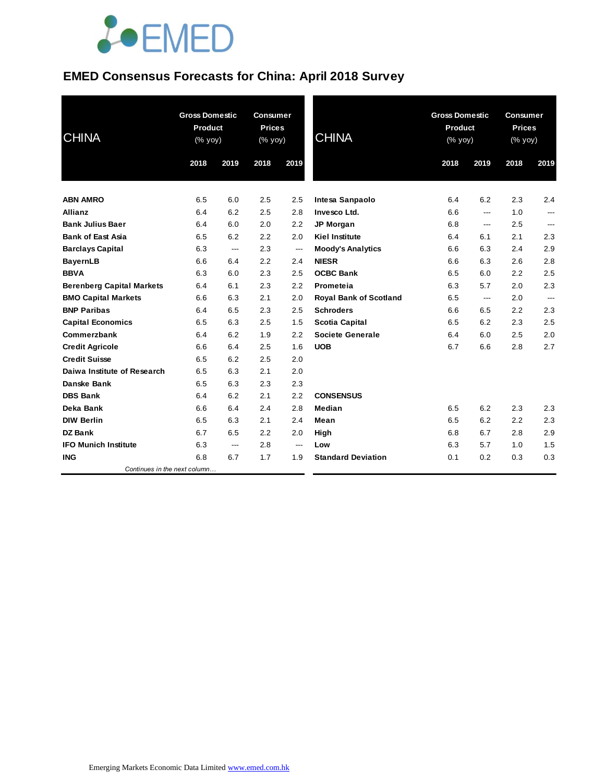# **JOEMED**

## **EMED Consensus Forecasts for China: April 2018 Survey**

| <b>CHINA</b>                     |      | <b>Gross Domestic</b><br>Product<br>(% yoy) |      | <b>Consumer</b><br><b>Prices</b><br>(% yoy) | <b>CHINA</b>                  | <b>Gross Domestic</b><br><b>Product</b><br>$(\%$ yoy) |       | <b>Consumer</b><br><b>Prices</b><br>(% yoy) |      |
|----------------------------------|------|---------------------------------------------|------|---------------------------------------------|-------------------------------|-------------------------------------------------------|-------|---------------------------------------------|------|
|                                  | 2018 | 2019                                        | 2018 | 2019                                        |                               | 2018                                                  | 2019  | 2018                                        | 2019 |
| <b>ABN AMRO</b>                  | 6.5  | 6.0                                         | 2.5  | 2.5                                         | Intesa Sanpaolo               | 6.4                                                   | 6.2   | 2.3                                         | 2.4  |
| <b>Allianz</b>                   | 6.4  | 6.2                                         | 2.5  | 2.8                                         | Invesco Ltd.                  | 6.6                                                   | $---$ | 1.0                                         | ---  |
| <b>Bank Julius Baer</b>          | 6.4  | 6.0                                         | 2.0  | 2.2                                         | JP Morgan                     | 6.8                                                   | ---   | 2.5                                         | ---  |
| <b>Bank of East Asia</b>         | 6.5  | 6.2                                         | 2.2  | 2.0                                         | <b>Kiel Institute</b>         | 6.4                                                   | 6.1   | 2.1                                         | 2.3  |
| <b>Barclays Capital</b>          | 6.3  | ---                                         | 2.3  | ---                                         | <b>Moody's Analytics</b>      | 6.6                                                   | 6.3   | 2.4                                         | 2.9  |
| <b>BayernLB</b>                  | 6.6  | 6.4                                         | 2.2  | 2.4                                         | <b>NIESR</b>                  | 6.6                                                   | 6.3   | 2.6                                         | 2.8  |
| <b>BBVA</b>                      | 6.3  | 6.0                                         | 2.3  | 2.5                                         | <b>OCBC Bank</b>              | 6.5                                                   | 6.0   | 2.2                                         | 2.5  |
| <b>Berenberg Capital Markets</b> | 6.4  | 6.1                                         | 2.3  | 2.2                                         | Prometeia                     | 6.3                                                   | 5.7   | 2.0                                         | 2.3  |
| <b>BMO Capital Markets</b>       | 6.6  | 6.3                                         | 2.1  | 2.0                                         | <b>Royal Bank of Scotland</b> | 6.5                                                   | ---   | 2.0                                         | ---  |
| <b>BNP Paribas</b>               | 6.4  | 6.5                                         | 2.3  | 2.5                                         | <b>Schroders</b>              | 6.6                                                   | 6.5   | 2.2                                         | 2.3  |
| <b>Capital Economics</b>         | 6.5  | 6.3                                         | 2.5  | 1.5                                         | <b>Scotia Capital</b>         | 6.5                                                   | 6.2   | 2.3                                         | 2.5  |
| Commerzbank                      | 6.4  | 6.2                                         | 1.9  | 2.2                                         | <b>Societe Generale</b>       | 6.4                                                   | 6.0   | 2.5                                         | 2.0  |
| <b>Credit Agricole</b>           | 6.6  | 6.4                                         | 2.5  | 1.6                                         | <b>UOB</b>                    | 6.7                                                   | 6.6   | 2.8                                         | 2.7  |
| <b>Credit Suisse</b>             | 6.5  | 6.2                                         | 2.5  | 2.0                                         |                               |                                                       |       |                                             |      |
| Daiwa Institute of Research      | 6.5  | 6.3                                         | 2.1  | 2.0                                         |                               |                                                       |       |                                             |      |
| Danske Bank                      | 6.5  | 6.3                                         | 2.3  | 2.3                                         |                               |                                                       |       |                                             |      |
| <b>DBS Bank</b>                  | 6.4  | 6.2                                         | 2.1  | 2.2                                         | <b>CONSENSUS</b>              |                                                       |       |                                             |      |
| Deka Bank                        | 6.6  | 6.4                                         | 2.4  | 2.8                                         | Median                        | 6.5                                                   | 6.2   | 2.3                                         | 2.3  |
| <b>DIW Berlin</b>                | 6.5  | 6.3                                         | 2.1  | 2.4                                         | Mean                          | 6.5                                                   | 6.2   | 2.2                                         | 2.3  |
| <b>DZ Bank</b>                   | 6.7  | 6.5                                         | 2.2  | 2.0                                         | High                          | 6.8                                                   | 6.7   | 2.8                                         | 2.9  |
| <b>IFO Munich Institute</b>      | 6.3  | ---                                         | 2.8  | $\hspace{0.05cm} \ldots$                    | Low                           | 6.3                                                   | 5.7   | 1.0                                         | 1.5  |
| <b>ING</b>                       | 6.8  | 6.7                                         | 1.7  | 1.9                                         | <b>Standard Deviation</b>     | 0.1                                                   | 0.2   | 0.3                                         | 0.3  |
| Continues in the next column     |      |                                             |      |                                             |                               |                                                       |       |                                             |      |